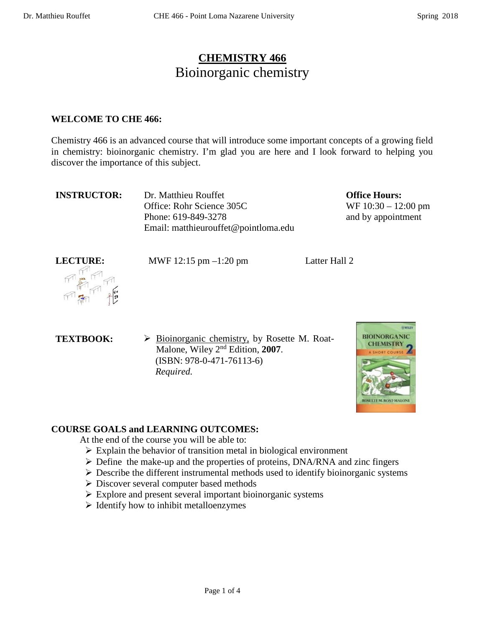# **CHEMISTRY 466** Bioinorganic chemistry

#### **WELCOME TO CHE 466:**

Chemistry 466 is an advanced course that will introduce some important concepts of a growing field in chemistry: bioinorganic chemistry. I'm glad you are here and I look forward to helping you discover the importance of this subject.

| <b>INSTRUCTOR:</b> | Dr. Matthieu Rouffet                 |
|--------------------|--------------------------------------|
|                    | Office: Rohr Science 305C            |
|                    | Phone: 619-849-3278                  |
|                    | Email: matthieurouffet@pointloma.edu |

**Office Hours:**  WF 10:30 – 12:00 pm and by appointment

**LECTURE:** MWF 12:15 pm –1:20 pm Latter Hall 2



**TEXTBOOK:**  $\triangleright$  **Bioinorganic chemistry, by Rosette M. Roat-**Malone, Wiley 2nd Edition, **2007**. (ISBN: 978-0-471-76113-6)  *Required.*



# **COURSE GOALS and LEARNING OUTCOMES:**

At the end of the course you will be able to:

- $\triangleright$  Explain the behavior of transition metal in biological environment
- $\triangleright$  Define the make-up and the properties of proteins, DNA/RNA and zinc fingers
- $\triangleright$  Describe the different instrumental methods used to identify bioinorganic systems
- Discover several computer based methods
- $\triangleright$  Explore and present several important bioinorganic systems
- $\triangleright$  Identify how to inhibit metalloenzymes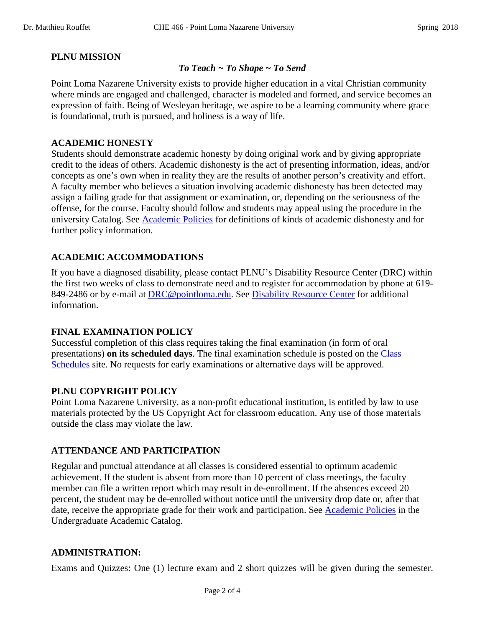### **PLNU MISSION**

#### *To Teach ~ To Shape ~ To Send*

Point Loma Nazarene University exists to provide higher education in a vital Christian community where minds are engaged and challenged, character is modeled and formed, and service becomes an expression of faith. Being of Wesleyan heritage, we aspire to be a learning community where grace is foundational, truth is pursued, and holiness is a way of life.

#### **ACADEMIC HONESTY**

Students should demonstrate academic honesty by doing original work and by giving appropriate credit to the ideas of others. Academic dishonesty is the act of presenting information, ideas, and/or concepts as one's own when in reality they are the results of another person's creativity and effort. A faculty member who believes a situation involving academic dishonesty has been detected may assign a failing grade for that assignment or examination, or, depending on the seriousness of the offense, for the course. Faculty should follow and students may appeal using the procedure in the university Catalog. See [Academic Policies](http://catalog.pointloma.edu/content.php?catoid=18&navoid=1278) for definitions of kinds of academic dishonesty and for further policy information.

#### **ACADEMIC ACCOMMODATIONS**

If you have a diagnosed disability, please contact PLNU's Disability Resource Center (DRC) within the first two weeks of class to demonstrate need and to register for accommodation by phone at 619- 849-2486 or by e-mail at [DRC@pointloma.edu.](mailto:DRC@pointloma.edu) See [Disability Resource Center](http://www.pointloma.edu/experience/offices/administrative-offices/academic-advising-office/disability-resource-center) for additional information.

#### **FINAL EXAMINATION POLICY**

Successful completion of this class requires taking the final examination (in form of oral presentations) **on its scheduled days**. The final examination schedule is posted on the [Class](http://www.pointloma.edu/experience/academics/class-schedules)  [Schedules](http://www.pointloma.edu/experience/academics/class-schedules) site. No requests for early examinations or alternative days will be approved.

#### **PLNU COPYRIGHT POLICY**

Point Loma Nazarene University, as a non-profit educational institution, is entitled by law to use materials protected by the US Copyright Act for classroom education. Any use of those materials outside the class may violate the law.

#### **ATTENDANCE AND PARTICIPATION**

Regular and punctual attendance at all classes is considered essential to optimum academic achievement. If the student is absent from more than 10 percent of class meetings, the faculty member can file a written report which may result in de-enrollment. If the absences exceed 20 percent, the student may be de-enrolled without notice until the university drop date or, after that date, receive the appropriate grade for their work and participation. See [Academic Policies](http://catalog.pointloma.edu/content.php?catoid=18&navoid=1278) in the Undergraduate Academic Catalog.

#### **ADMINISTRATION:**

Exams and Quizzes: One (1) lecture exam and 2 short quizzes will be given during the semester.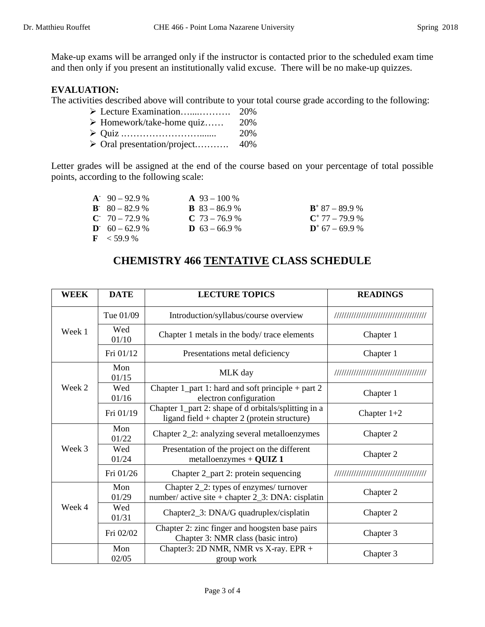Make-up exams will be arranged only if the instructor is contacted prior to the scheduled exam time and then only if you present an institutionally valid excuse. There will be no make-up quizzes.

## **EVALUATION:**

The activities described above will contribute to your total course grade according to the following:

- Lecture Examination…....………. 20%
- $\triangleright$  Homework/take-home quiz...... 20% Quiz .……………………....... 20%
- Oral presentation/project.………. 40%

Letter grades will be assigned at the end of the course based on your percentage of total possible points, according to the following scale:

| $A^{\dagger}$ 90 – 92.9 % | $\mathbf{A}$ 93 – 100 % |                   |
|---------------------------|-------------------------|-------------------|
| $B = 80 - 82.9 %$         | <b>B</b> $83 - 86.9$ %  | $B^+$ 87 – 89.9 % |
| $C = 70 - 72.9 %$         | $C$ 73 – 76.9 %         | $C^+$ 77 – 79.9 % |
| $D = 60 - 62.9$ %         | <b>D</b> $63 - 66.9$ %  | $D^+$ 67 – 69.9 % |
| $\rm{F}$ < 59.9 %         |                         |                   |

# **CHEMISTRY 466 TENTATIVE CLASS SCHEDULE**

| <b>WEEK</b> | <b>DATE</b>  | <b>LECTURE TOPICS</b>                                                                                  | <b>READINGS</b>                        |
|-------------|--------------|--------------------------------------------------------------------------------------------------------|----------------------------------------|
| Week 1      | Tue 01/09    | Introduction/syllabus/course overview                                                                  | ,,,,,,,,,,,,,,,,,,,,,,,,,,,,,,,,,,,,,, |
|             | Wed<br>01/10 | Chapter 1 metals in the body/trace elements                                                            | Chapter 1                              |
|             | Fri 01/12    | Presentations metal deficiency                                                                         | Chapter 1                              |
| Week 2      | Mon<br>01/15 | MLK day                                                                                                | ,,,,,,,,,,,,,,,,,,,,,,,,,,,,,,,,,,,,,  |
|             | Wed<br>01/16 | Chapter $1$ part 1: hard and soft principle + part 2<br>electron configuration                         | Chapter 1                              |
|             | Fri 01/19    | Chapter 1_part 2: shape of d orbitals/splitting in a<br>ligand field + chapter $2$ (protein structure) | Chapter $1+2$                          |
| Week 3      | Mon<br>01/22 | Chapter 2_2: analyzing several metalloenzymes                                                          | Chapter 2                              |
|             | Wed<br>01/24 | Presentation of the project on the different<br>metalloenzymes + $\bf{QUIZ}$ 1                         | Chapter 2                              |
|             | Fri 01/26    | Chapter 2_part 2: protein sequencing                                                                   |                                        |
| Week 4      | Mon<br>01/29 | Chapter 2_2: types of enzymes/turnover<br>number/ active site + chapter $2_3$ : DNA: cisplatin         | Chapter 2                              |
|             | Wed<br>01/31 | Chapter2_3: DNA/G quadruplex/cisplatin                                                                 | Chapter 2                              |
|             | Fri 02/02    | Chapter 2: zinc finger and hoogsten base pairs<br>Chapter 3: NMR class (basic intro)                   | Chapter 3                              |
|             | Mon<br>02/05 | Chapter3: 2D NMR, NMR vs X-ray. EPR +<br>group work                                                    | Chapter 3                              |